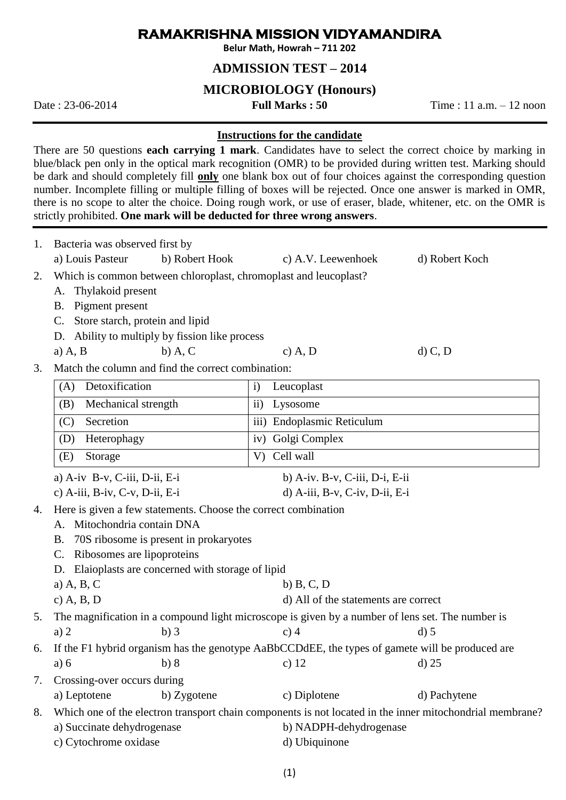# **RAMAKRISHNA MISSION VIDYAMANDIRA**

**Belur Math, Howrah – 711 202**

### **ADMISSION TEST – 2014**

### **MICROBIOLOGY (Honours)**

Date : 23-06-2014 **Full Marks : 50** Time : 11 a.m. – 12 noon

#### **Instructions for the candidate**

There are 50 questions **each carrying 1 mark**. Candidates have to select the correct choice by marking in blue/black pen only in the optical mark recognition (OMR) to be provided during written test. Marking should be dark and should completely fill **only** one blank box out of four choices against the corresponding question number. Incomplete filling or multiple filling of boxes will be rejected. Once one answer is marked in OMR, there is no scope to alter the choice. Doing rough work, or use of eraser, blade, whitener, etc. on the OMR is strictly prohibited. **One mark will be deducted for three wrong answers**.

| 1. | Bacteria was observed first by<br>a) Louis Pasteur<br>b) Robert Hook                                                        | c) A.V. Leewenhoek                   | d) Robert Koch |  |
|----|-----------------------------------------------------------------------------------------------------------------------------|--------------------------------------|----------------|--|
| 2. | Which is common between chloroplast, chromoplast and leucoplast?<br>Thylakoid present<br>А.<br>Pigment present<br><b>B.</b> |                                      |                |  |
|    | Store starch, protein and lipid<br>$\mathbf{C}$ .                                                                           |                                      |                |  |
|    | Ability to multiply by fission like process<br>D.                                                                           |                                      |                |  |
|    | $b)$ A, C<br>$a)$ A, B                                                                                                      | $c)$ A, D                            | $d)$ C, D      |  |
| 3. | Match the column and find the correct combination:                                                                          |                                      |                |  |
|    | Detoxification<br>(A)                                                                                                       | Leucoplast<br>$\mathbf{i}$           |                |  |
|    | Mechanical strength<br>(B)                                                                                                  | $\mathbf{ii}$ )<br>Lysosome          |                |  |
|    | Secretion<br>(C)                                                                                                            | iii) Endoplasmic Reticulum           |                |  |
|    | Heterophagy<br>(D)                                                                                                          | iv) Golgi Complex                    |                |  |
|    | (E)<br>Storage                                                                                                              | V) Cell wall                         |                |  |
|    | a) A-iv B-v, C-iii, D-ii, E-i                                                                                               | b) A-iv. B-v, C-iii, D-i, E-ii       |                |  |
|    | c) A-iii, B-iv, C-v, D-ii, E-i                                                                                              | d) A-iii, B-v, C-iv, D-ii, E-i       |                |  |
| 4. | Here is given a few statements. Choose the correct combination                                                              |                                      |                |  |
|    | A. Mitochondria contain DNA                                                                                                 |                                      |                |  |
|    | 70S ribosome is present in prokaryotes<br><b>B.</b>                                                                         |                                      |                |  |
|    | Ribosomes are lipoproteins<br>$\mathbf{C}$ .                                                                                |                                      |                |  |
|    | Elaioplasts are concerned with storage of lipid<br>D.<br>a) $A, B, C$                                                       | $b)$ B, C, D                         |                |  |
|    | c) $A, B, D$                                                                                                                | d) All of the statements are correct |                |  |
| 5. | The magnification in a compound light microscope is given by a number of lens set. The number is                            |                                      |                |  |
|    | $b)$ 3<br>a) $2$                                                                                                            | $c)$ 4                               | $d)$ 5         |  |
| 6. | If the F1 hybrid organism has the genotype AaBbCCDdEE, the types of gamete will be produced are                             |                                      |                |  |
|    | b)8<br>a) 6                                                                                                                 | c) $12$                              | $d)$ 25        |  |
| 7. | Crossing-over occurs during                                                                                                 |                                      |                |  |
|    | a) Leptotene<br>b) Zygotene                                                                                                 | c) Diplotene                         | d) Pachytene   |  |
| 8. | Which one of the electron transport chain components is not located in the inner mitochondrial membrane?                    |                                      |                |  |
|    | a) Succinate dehydrogenase                                                                                                  | b) NADPH-dehydrogenase               |                |  |
|    | c) Cytochrome oxidase                                                                                                       | d) Ubiquinone                        |                |  |
|    |                                                                                                                             |                                      |                |  |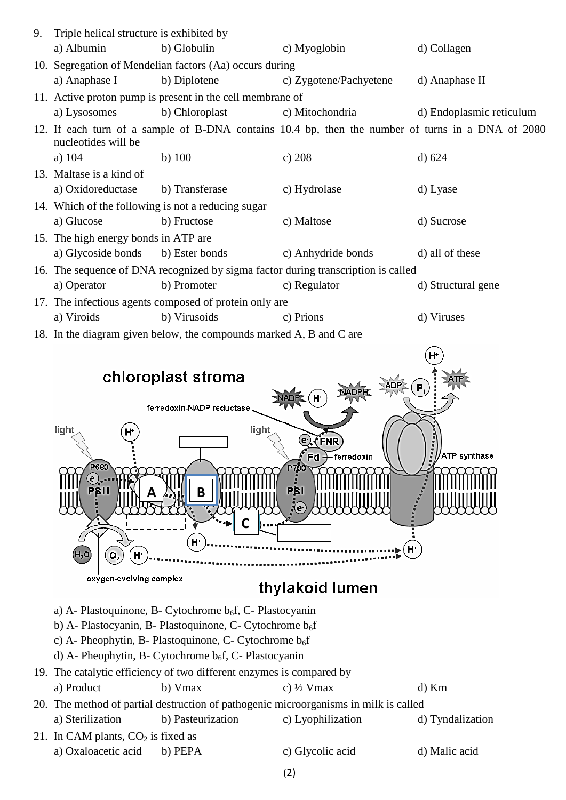| 9. | Triple helical structure is exhibited by                                                                                 |                                                                     |                                                                                   |                          |  |  |
|----|--------------------------------------------------------------------------------------------------------------------------|---------------------------------------------------------------------|-----------------------------------------------------------------------------------|--------------------------|--|--|
|    | a) Albumin                                                                                                               | b) Globulin                                                         | c) Myoglobin                                                                      | d) Collagen              |  |  |
|    |                                                                                                                          | 10. Segregation of Mendelian factors (Aa) occurs during             |                                                                                   |                          |  |  |
|    | a) Anaphase I                                                                                                            | b) Diplotene                                                        | c) Zygotene/Pachyetene                                                            | d) Anaphase II           |  |  |
|    |                                                                                                                          | 11. Active proton pump is present in the cell membrane of           |                                                                                   |                          |  |  |
|    | a) Lysosomes                                                                                                             | b) Chloroplast                                                      | c) Mitochondria                                                                   | d) Endoplasmic reticulum |  |  |
|    | 12. If each turn of a sample of B-DNA contains 10.4 bp, then the number of turns in a DNA of 2080<br>nucleotides will be |                                                                     |                                                                                   |                          |  |  |
|    | a) $104$                                                                                                                 | $b)$ 100                                                            | c) 208                                                                            | d) 624                   |  |  |
|    | 13. Maltase is a kind of                                                                                                 |                                                                     |                                                                                   |                          |  |  |
|    | a) Oxidoreductase                                                                                                        | b) Transferase                                                      | c) Hydrolase                                                                      | d) Lyase                 |  |  |
|    |                                                                                                                          | 14. Which of the following is not a reducing sugar                  |                                                                                   |                          |  |  |
|    | a) Glucose                                                                                                               | b) Fructose                                                         | c) Maltose                                                                        | d) Sucrose               |  |  |
|    | 15. The high energy bonds in ATP are                                                                                     |                                                                     |                                                                                   |                          |  |  |
|    | a) Glycoside bonds                                                                                                       | b) Ester bonds                                                      | c) Anhydride bonds                                                                | d) all of these          |  |  |
|    |                                                                                                                          |                                                                     | 16. The sequence of DNA recognized by sigma factor during transcription is called |                          |  |  |
|    | a) Operator                                                                                                              | b) Promoter                                                         | c) Regulator                                                                      | d) Structural gene       |  |  |
|    |                                                                                                                          | 17. The infectious agents composed of protein only are              |                                                                                   |                          |  |  |
|    | a) Viroids                                                                                                               | b) Virusoids                                                        | c) Prions                                                                         | d) Viruses               |  |  |
|    |                                                                                                                          | 18. In the diagram given below, the compounds marked A, B and C are |                                                                                   |                          |  |  |
|    |                                                                                                                          |                                                                     |                                                                                   |                          |  |  |
|    |                                                                                                                          | chloroplast stroma                                                  |                                                                                   |                          |  |  |
|    |                                                                                                                          |                                                                     |                                                                                   | P.                       |  |  |
|    |                                                                                                                          | ferredoxin-NADP reductase                                           |                                                                                   |                          |  |  |
|    | light                                                                                                                    | light                                                               |                                                                                   |                          |  |  |
|    |                                                                                                                          |                                                                     | $\odot$ (FNR)                                                                     |                          |  |  |
|    | P680                                                                                                                     |                                                                     | $Fd -$<br>ferredoxin                                                              | ATP synthase             |  |  |
|    | $\left( \bullet \right)$<br><b>PBI</b><br>PŞII<br>Β                                                                      |                                                                     |                                                                                   |                          |  |  |
|    | H <sup>+</sup><br>$\mathbf{o}_2$<br>$H^*$<br>H,0<br>oxygen-evolving complex                                              |                                                                     |                                                                                   |                          |  |  |
|    |                                                                                                                          |                                                                     |                                                                                   |                          |  |  |
|    | thylakoid lumen                                                                                                          |                                                                     |                                                                                   |                          |  |  |
|    | a) A- Plastoquinone, B- Cytochrome $b_6f$ , C- Plastocyanin                                                              |                                                                     |                                                                                   |                          |  |  |
|    | b) A- Plastocyanin, B- Plastoquinone, C- Cytochrome b <sub>6</sub> f                                                     |                                                                     |                                                                                   |                          |  |  |
|    | c) A- Pheophytin, B- Plastoquinone, C- Cytochrome b <sub>6</sub> f                                                       |                                                                     |                                                                                   |                          |  |  |

d) A- Pheophytin, B- Cytochrome b<sub>6</sub>f, C- Plastocyanin

# 19. The catalytic efficiency of two different enzymes is compared by a) Product b) Vmax c)  $\frac{1}{2}$  Vmax d) Km

# 20. The method of partial destruction of pathogenic microorganisms in milk is called a) Sterilization b) Pasteurization c) Lyophilization d) Tyndalization

- 21. In CAM plants,  $CO<sub>2</sub>$  is fixed as a) Oxaloacetic acid b) PEPA c) Glycolic acid d) Malic acid
	-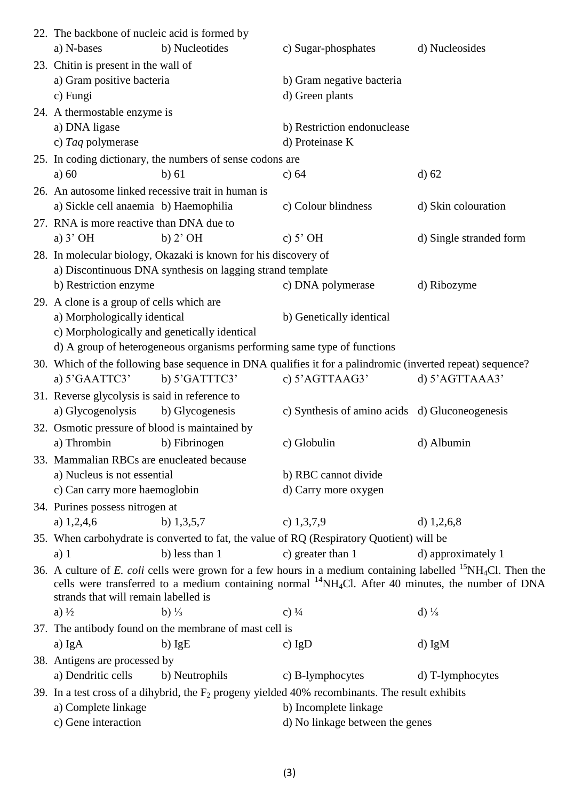| 22. The backbone of nucleic acid is formed by                                                                                                                                                                                                                                                              |                                                                         |                                                                                                            |                         |  |
|------------------------------------------------------------------------------------------------------------------------------------------------------------------------------------------------------------------------------------------------------------------------------------------------------------|-------------------------------------------------------------------------|------------------------------------------------------------------------------------------------------------|-------------------------|--|
| a) N-bases                                                                                                                                                                                                                                                                                                 | b) Nucleotides                                                          | c) Sugar-phosphates                                                                                        | d) Nucleosides          |  |
| 23. Chitin is present in the wall of                                                                                                                                                                                                                                                                       |                                                                         |                                                                                                            |                         |  |
| a) Gram positive bacteria                                                                                                                                                                                                                                                                                  |                                                                         | b) Gram negative bacteria                                                                                  |                         |  |
| c) Fungi                                                                                                                                                                                                                                                                                                   |                                                                         | d) Green plants                                                                                            |                         |  |
| 24. A thermostable enzyme is                                                                                                                                                                                                                                                                               |                                                                         |                                                                                                            |                         |  |
| a) DNA ligase                                                                                                                                                                                                                                                                                              |                                                                         | b) Restriction endonuclease                                                                                |                         |  |
| c) Taq polymerase                                                                                                                                                                                                                                                                                          |                                                                         | d) Proteinase K                                                                                            |                         |  |
| 25. In coding dictionary, the numbers of sense codons are                                                                                                                                                                                                                                                  |                                                                         |                                                                                                            |                         |  |
| a) $60$                                                                                                                                                                                                                                                                                                    | b) 61                                                                   | c) $64$                                                                                                    | $d$ ) 62                |  |
|                                                                                                                                                                                                                                                                                                            | 26. An autosome linked recessive trait in human is                      |                                                                                                            |                         |  |
| a) Sickle cell anaemia b) Haemophilia<br>c) Colour blindness<br>d) Skin colouration                                                                                                                                                                                                                        |                                                                         |                                                                                                            |                         |  |
| 27. RNA is more reactive than DNA due to                                                                                                                                                                                                                                                                   |                                                                         |                                                                                                            |                         |  |
| a) $3'$ OH                                                                                                                                                                                                                                                                                                 | $b)$ 2' OH                                                              | c) $5^{\circ}$ OH                                                                                          | d) Single stranded form |  |
| 28. In molecular biology, Okazaki is known for his discovery of                                                                                                                                                                                                                                            |                                                                         |                                                                                                            |                         |  |
|                                                                                                                                                                                                                                                                                                            | a) Discontinuous DNA synthesis on lagging strand template               |                                                                                                            |                         |  |
| b) Restriction enzyme                                                                                                                                                                                                                                                                                      |                                                                         | c) DNA polymerase                                                                                          | d) Ribozyme             |  |
| 29. A clone is a group of cells which are                                                                                                                                                                                                                                                                  |                                                                         |                                                                                                            |                         |  |
| a) Morphologically identical                                                                                                                                                                                                                                                                               |                                                                         | b) Genetically identical                                                                                   |                         |  |
| c) Morphologically and genetically identical                                                                                                                                                                                                                                                               |                                                                         |                                                                                                            |                         |  |
|                                                                                                                                                                                                                                                                                                            | d) A group of heterogeneous organisms performing same type of functions |                                                                                                            |                         |  |
|                                                                                                                                                                                                                                                                                                            |                                                                         | 30. Which of the following base sequence in DNA qualifies it for a palindromic (inverted repeat) sequence? |                         |  |
| a) 5'GAATTC3'                                                                                                                                                                                                                                                                                              | b) 5'GATTTC3'                                                           | c) 5'AGTTAAG3'                                                                                             | d) 5'AGTTAAA3'          |  |
| 31. Reverse glycolysis is said in reference to                                                                                                                                                                                                                                                             |                                                                         |                                                                                                            |                         |  |
| a) Glycogenolysis                                                                                                                                                                                                                                                                                          | b) Glycogenesis                                                         | c) Synthesis of amino acids d) Gluconeogenesis                                                             |                         |  |
| 32. Osmotic pressure of blood is maintained by                                                                                                                                                                                                                                                             |                                                                         |                                                                                                            |                         |  |
| a) Thrombin                                                                                                                                                                                                                                                                                                | b) Fibrinogen                                                           | c) Globulin                                                                                                | d) Albumin              |  |
| 33. Mammalian RBCs are enucleated because                                                                                                                                                                                                                                                                  |                                                                         |                                                                                                            |                         |  |
| a) Nucleus is not essential                                                                                                                                                                                                                                                                                |                                                                         | b) RBC cannot divide                                                                                       |                         |  |
| c) Can carry more haemoglobin                                                                                                                                                                                                                                                                              |                                                                         | d) Carry more oxygen                                                                                       |                         |  |
| 34. Purines possess nitrogen at                                                                                                                                                                                                                                                                            |                                                                         |                                                                                                            |                         |  |
| a) $1,2,4,6$                                                                                                                                                                                                                                                                                               | b) $1,3,5,7$                                                            | c) $1,3,7,9$                                                                                               | d) $1,2,6,8$            |  |
|                                                                                                                                                                                                                                                                                                            |                                                                         | 35. When carbohydrate is converted to fat, the value of RQ (Respiratory Quotient) will be                  |                         |  |
| $a)$ 1                                                                                                                                                                                                                                                                                                     | b) less than 1                                                          | c) greater than 1                                                                                          | d) approximately 1      |  |
| 36. A culture of E. coli cells were grown for a few hours in a medium containing labelled <sup>15</sup> NH <sub>4</sub> Cl. Then the<br>cells were transferred to a medium containing normal <sup>14</sup> NH <sub>4</sub> Cl. After 40 minutes, the number of DNA<br>strands that will remain labelled is |                                                                         |                                                                                                            |                         |  |
| a) $\frac{1}{2}$                                                                                                                                                                                                                                                                                           | b) $\frac{1}{3}$                                                        | c) $\frac{1}{4}$                                                                                           | d) $\frac{1}{8}$        |  |
|                                                                                                                                                                                                                                                                                                            | 37. The antibody found on the membrane of mast cell is                  |                                                                                                            |                         |  |
| a) IgA                                                                                                                                                                                                                                                                                                     | $b)$ IgE                                                                | c) $IgD$                                                                                                   | $d)$ IgM                |  |
| 38. Antigens are processed by                                                                                                                                                                                                                                                                              |                                                                         |                                                                                                            |                         |  |
| a) Dendritic cells                                                                                                                                                                                                                                                                                         | b) Neutrophils                                                          | c) B-lymphocytes                                                                                           | d) T-lymphocytes        |  |
| 39. In a test cross of a dihybrid, the $F_2$ progeny yielded 40% recombinants. The result exhibits                                                                                                                                                                                                         |                                                                         |                                                                                                            |                         |  |
| a) Complete linkage                                                                                                                                                                                                                                                                                        |                                                                         | b) Incomplete linkage                                                                                      |                         |  |
| c) Gene interaction                                                                                                                                                                                                                                                                                        |                                                                         | d) No linkage between the genes                                                                            |                         |  |